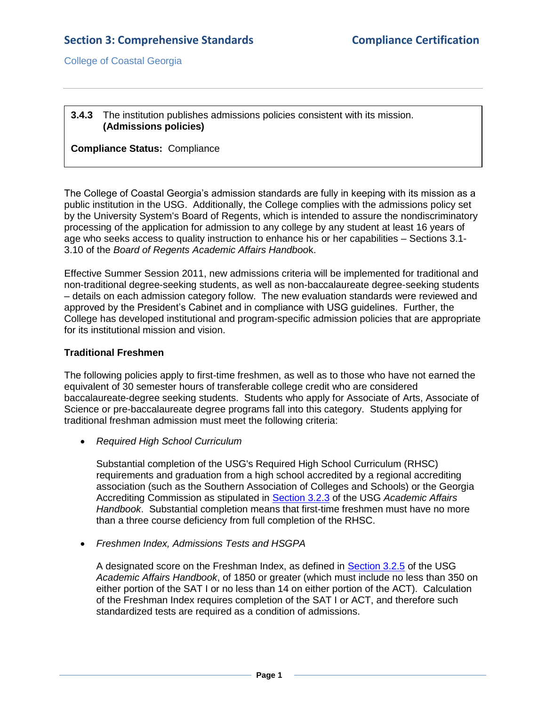## **3.4.3** The institution publishes admissions policies consistent with its mission. **(Admissions policies)**

# **Compliance Status:** Compliance

The College of Coastal Georgia's admission standards are fully in keeping with its mission as a public institution in the USG. Additionally, the College complies with the admissions policy set by the University System's Board of Regents, which is intended to assure the nondiscriminatory processing of the application for admission to any college by any student at least 16 years of age who seeks access to quality instruction to enhance his or her capabilities – Sections 3.1- 3.10 of the *Board of Regents Academic Affairs Handboo*k.

Effective Summer Session 2011, new admissions criteria will be implemented for traditional and non-traditional degree-seeking students, as well as non-baccalaureate degree-seeking students – details on each admission category follow. The new evaluation standards were reviewed and approved by the President's Cabinet and in compliance with USG guidelines. Further, the College has developed institutional and program-specific admission policies that are appropriate for its institutional mission and vision.

# **Traditional Freshmen**

The following policies apply to first-time freshmen, as well as to those who have not earned the equivalent of 30 semester hours of transferable college credit who are considered baccalaureate-degree seeking students. Students who apply for Associate of Arts, Associate of Science or pre-baccalaureate degree programs fall into this category. Students applying for traditional freshman admission must meet the following criteria:

*Required High School Curriculum*

Substantial completion of the USG's Required High School Curriculum (RHSC) requirements and graduation from a high school accredited by a regional accrediting association (such as the Southern Association of Colleges and Schools) or the Georgia Accrediting Commission as stipulated in [Section 3.2.3](3.4.3.aUSGAAhandbook3.2.pdf#page=2) of the USG *Academic Affairs Handbook*. Substantial completion means that first-time freshmen must have no more than a three course deficiency from full completion of the RHSC.

*Freshmen Index, Admissions Tests and HSGPA*

A designated score on the Freshman Index, as defined in [Section 3.2.5](3.4.3.aUSGAAhandbook3.2.pdf#page=3) of the USG *Academic Affairs Handbook*, of 1850 or greater (which must include no less than 350 on either portion of the SAT I or no less than 14 on either portion of the ACT). Calculation of the Freshman Index requires completion of the SAT I or ACT, and therefore such standardized tests are required as a condition of admissions.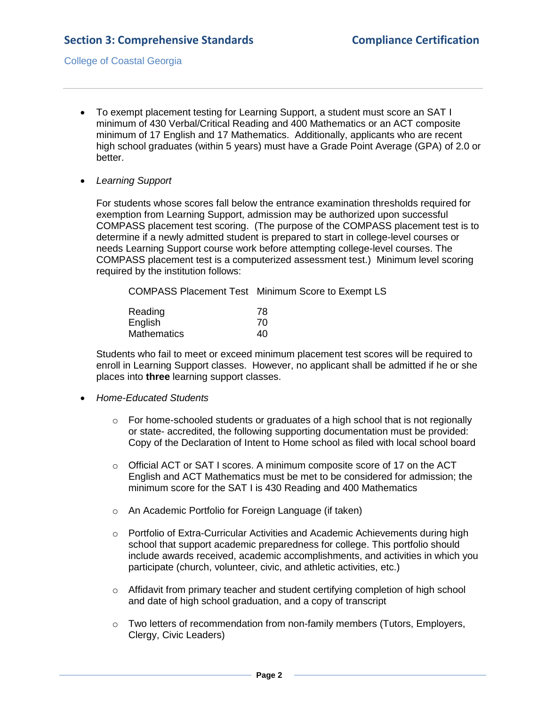- To exempt placement testing for Learning Support, a student must score an SAT I minimum of 430 Verbal/Critical Reading and 400 Mathematics or an ACT composite minimum of 17 English and 17 Mathematics. Additionally, applicants who are recent high school graduates (within 5 years) must have a Grade Point Average (GPA) of 2.0 or better.
- *Learning Support*

For students whose scores fall below the entrance examination thresholds required for exemption from Learning Support, admission may be authorized upon successful COMPASS placement test scoring. (The purpose of the COMPASS placement test is to determine if a newly admitted student is prepared to start in college-level courses or needs Learning Support course work before attempting college-level courses. The COMPASS placement test is a computerized assessment test.) Minimum level scoring required by the institution follows:

COMPASS Placement Test Minimum Score to Exempt LS

| Reading            | 78 |
|--------------------|----|
| English            | 70 |
| <b>Mathematics</b> | 40 |

Students who fail to meet or exceed minimum placement test scores will be required to enroll in Learning Support classes. However, no applicant shall be admitted if he or she places into **three** learning support classes.

- *Home-Educated Students*
	- $\circ$  For home-schooled students or graduates of a high school that is not regionally or state- accredited, the following supporting documentation must be provided: Copy of the Declaration of Intent to Home school as filed with local school board
	- o Official ACT or SAT I scores. A minimum composite score of 17 on the ACT English and ACT Mathematics must be met to be considered for admission; the minimum score for the SAT I is 430 Reading and 400 Mathematics
	- o An Academic Portfolio for Foreign Language (if taken)
	- $\circ$  Portfolio of Extra-Curricular Activities and Academic Achievements during high school that support academic preparedness for college. This portfolio should include awards received, academic accomplishments, and activities in which you participate (church, volunteer, civic, and athletic activities, etc.)
	- o Affidavit from primary teacher and student certifying completion of high school and date of high school graduation, and a copy of transcript
	- o Two letters of recommendation from non-family members (Tutors, Employers, Clergy, Civic Leaders)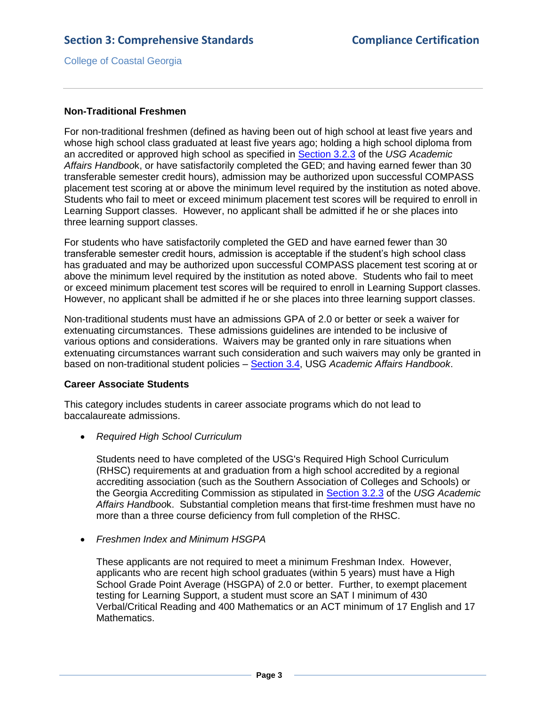## **Non-Traditional Freshmen**

For non-traditional freshmen (defined as having been out of high school at least five years and whose high school class graduated at least five years ago; holding a high school diploma from an accredited or approved high school as specified in [Section 3.2.3](3.4.3.aUSGAAhandbook3.2.pdf#page=2) of the *USG Academic Affairs Handboo*k, or have satisfactorily completed the GED; and having earned fewer than 30 transferable semester credit hours), admission may be authorized upon successful COMPASS placement test scoring at or above the minimum level required by the institution as noted above. Students who fail to meet or exceed minimum placement test scores will be required to enroll in Learning Support classes. However, no applicant shall be admitted if he or she places into three learning support classes.

For students who have satisfactorily completed the GED and have earned fewer than 30 transferable semester credit hours, admission is acceptable if the student's high school class has graduated and may be authorized upon successful COMPASS placement test scoring at or above the minimum level required by the institution as noted above. Students who fail to meet or exceed minimum placement test scores will be required to enroll in Learning Support classes. However, no applicant shall be admitted if he or she places into three learning support classes.

Non-traditional students must have an admissions GPA of 2.0 or better or seek a waiver for extenuating circumstances.These admissions guidelines are intended to be inclusive of various options and considerations. Waivers may be granted only in rare situations when extenuating circumstances warrant such consideration and such waivers may only be granted in based on non-traditional student policies – [Section 3.4,](3.4.3.bUSGAAhandbook3.4.pdf#page=1) USG *Academic Affairs Handbook*.

## **Career Associate Students**

This category includes students in career associate programs which do not lead to baccalaureate admissions.

*Required High School Curriculum*

Students need to have completed of the USG's Required High School Curriculum (RHSC) requirements at and graduation from a high school accredited by a regional accrediting association (such as the Southern Association of Colleges and Schools) or the Georgia Accrediting Commission as stipulated in [Section 3.2.3](3.4.3.aUSGAAhandbook3.2.pdf#page=2) of the *USG Academic Affairs Handboo*k. Substantial completion means that first-time freshmen must have no more than a three course deficiency from full completion of the RHSC.

*Freshmen Index and Minimum HSGPA*

These applicants are not required to meet a minimum Freshman Index. However, applicants who are recent high school graduates (within 5 years) must have a High School Grade Point Average (HSGPA) of 2.0 or better. Further, to exempt placement testing for Learning Support, a student must score an SAT I minimum of 430 Verbal/Critical Reading and 400 Mathematics or an ACT minimum of 17 English and 17 Mathematics.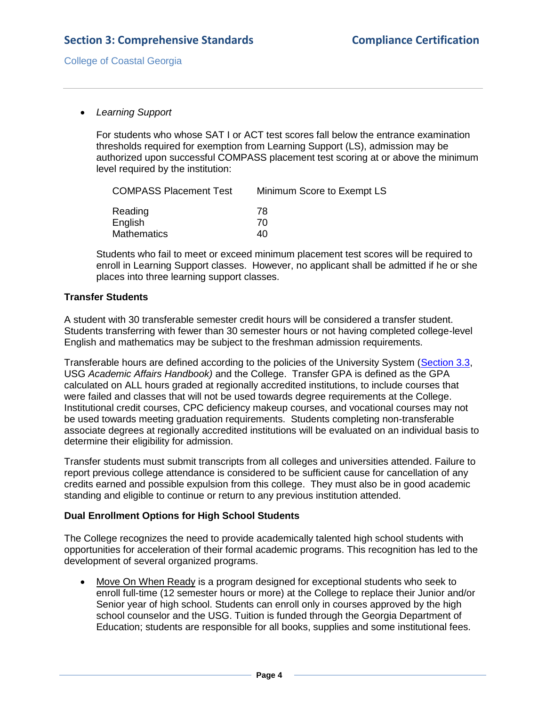*Learning Support*

For students who whose SAT I or ACT test scores fall below the entrance examination thresholds required for exemption from Learning Support (LS), admission may be authorized upon successful COMPASS placement test scoring at or above the minimum level required by the institution:

| <b>COMPASS Placement Test</b> | Minimum Score to Exempt LS |
|-------------------------------|----------------------------|
| Reading                       | 78                         |
| English                       | 70                         |
| <b>Mathematics</b>            | 40                         |

Students who fail to meet or exceed minimum placement test scores will be required to enroll in Learning Support classes. However, no applicant shall be admitted if he or she places into three learning support classes.

# **Transfer Students**

A student with 30 transferable semester credit hours will be considered a transfer student. Students transferring with fewer than 30 semester hours or not having completed college-level English and mathematics may be subject to the freshman admission requirements.

Transferable hours are defined according to the policies of the University System [\(Section 3.3,](3.4.3.cUSGAAhandbook3.3.pdf#page=1) USG *Academic Affairs Handbook)* and the College. Transfer GPA is defined as the GPA calculated on ALL hours graded at regionally accredited institutions, to include courses that were failed and classes that will not be used towards degree requirements at the College. Institutional credit courses, CPC deficiency makeup courses, and vocational courses may not be used towards meeting graduation requirements. Students completing non-transferable associate degrees at regionally accredited institutions will be evaluated on an individual basis to determine their eligibility for admission.

Transfer students must submit transcripts from all colleges and universities attended. Failure to report previous college attendance is considered to be sufficient cause for cancellation of any credits earned and possible expulsion from this college. They must also be in good academic standing and eligible to continue or return to any previous institution attended.

# **Dual Enrollment Options for High School Students**

The College recognizes the need to provide academically talented high school students with opportunities for acceleration of their formal academic programs. This recognition has led to the development of several organized programs.

 Move On When Ready is a program designed for exceptional students who seek to enroll full-time (12 semester hours or more) at the College to replace their Junior and/or Senior year of high school. Students can enroll only in courses approved by the high school counselor and the USG. Tuition is funded through the Georgia Department of Education; students are responsible for all books, supplies and some institutional fees.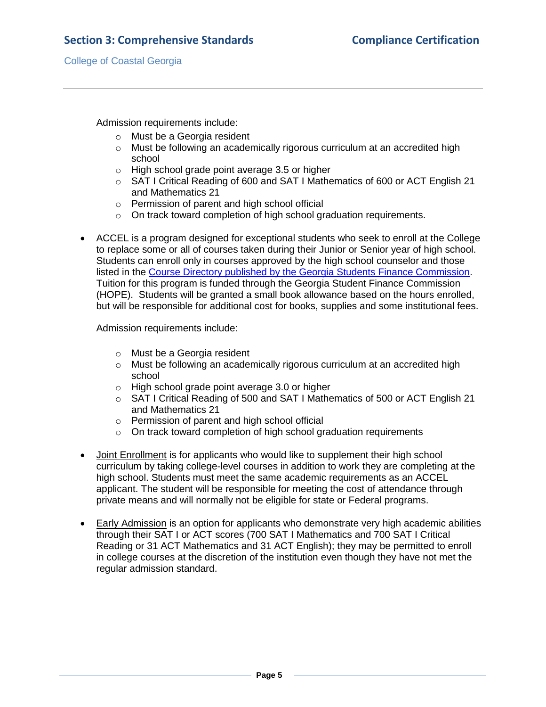Admission requirements include:

- o Must be a Georgia resident
- o Must be following an academically rigorous curriculum at an accredited high school
- o High school grade point average 3.5 or higher
- o SAT I Critical Reading of 600 and SAT I Mathematics of 600 or ACT English 21 and Mathematics 21
- o Permission of parent and high school official
- o On track toward completion of high school graduation requirements.
- ACCEL is a program designed for exceptional students who seek to enroll at the College to replace some or all of courses taken during their Junior or Senior year of high school. Students can enroll only in courses approved by the high school counselor and those listed in the [Course Directory published by the Georgia Students Finance Commission.](3.4.3.fGSFCcoursedirectory.pdf#page=26) Tuition for this program is funded through the Georgia Student Finance Commission (HOPE). Students will be granted a small book allowance based on the hours enrolled, but will be responsible for additional cost for books, supplies and some institutional fees.

Admission requirements include:

- o Must be a Georgia resident
- $\circ$  Must be following an academically rigorous curriculum at an accredited high [school](http://www.ccga.edu/catalog/catalog.asp?mId=32)
- o High school grade point average 3.0 or higher
- o SAT I Critical Reading of 500 and SAT I Mathematics of 500 or ACT English 21 and Mathematics 21
- o Permission of parent and high school official
- o On track toward completion of high school graduation requirements
- Joint Enrollment is for applicants who would like to supplement their high school curriculum by taking college-level courses in addition to work they are completing at the high school. Students must meet the same academic requirements as an ACCEL applicant. The student will be responsible for meeting the cost of attendance through private means and will normally not be eligible for state or Federal programs.
- Early Admission is an option for applicants who demonstrate very high academic abilities through their SAT I or ACT scores (700 SAT I Mathematics and 700 SAT I Critical Reading or 31 ACT Mathematics and 31 ACT English); they may be permitted to enroll in college courses at the discretion of the institution even though they have not met the regular admission standard.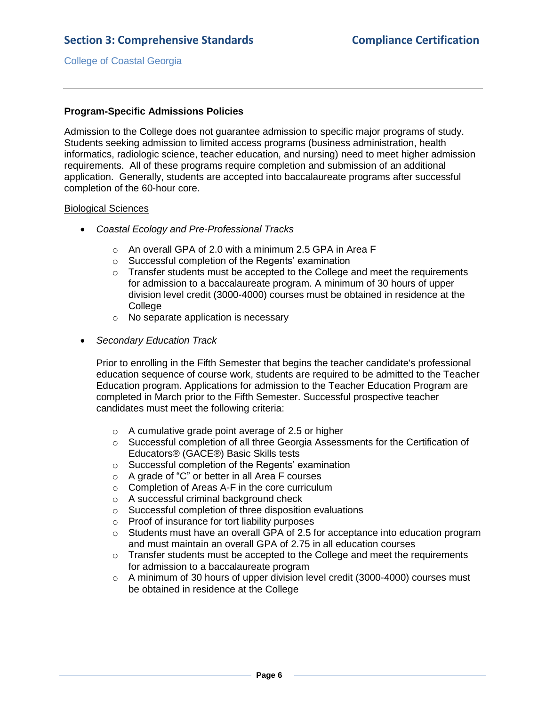# **Program-Specific Admissions Policies**

Admission to the College does not guarantee admission to specific major programs of study. Students seeking admission to limited access programs (business administration, health informatics, radiologic science, teacher education, and nursing) need to meet higher admission requirements. All of these programs require completion and submission of an additional application. Generally, students are accepted into baccalaureate programs after successful completion of the 60-hour core.

#### Biological Sciences

- *Coastal Ecology and Pre-Professional Tracks*
	- o An overall GPA of 2.0 with a minimum 2.5 GPA in Area F
	- o Successful completion of the Regents' examination
	- $\circ$  Transfer students must be accepted to the College and meet the requirements for admission to a baccalaureate program. A minimum of 30 hours of upper division level credit (3000-4000) courses must be obtained in residence at the **College**
	- o No separate application is necessary
- *Secondary Education Track*

Prior to enrolling in the Fifth Semester that begins the teacher candidate's professional education sequence of course work, students are required to be admitted to the Teacher Education program. Applications for admission to the Teacher Education Program are completed in March prior to the Fifth Semester. Successful prospective teacher candidates must meet the following criteria:

- o A cumulative grade point average of 2.5 or higher
- o Successful completion of all three Georgia Assessments for the Certification of Educators® (GACE®) Basic Skills tests
- o Successful completion of the Regents' examination
- o A grade of "C" or better in all Area F courses
- o Completion of Areas A-F in the core curriculum
- o A successful criminal background check
- o Successful completion of three disposition evaluations
- o Proof of insurance for tort liability purposes
- $\circ$  Students must have an overall GPA of 2.5 for acceptance into education program and must maintain an overall GPA of 2.75 in all education courses
- o Transfer students must be accepted to the College and meet the requirements for admission to a baccalaureate program
- $\circ$  A minimum of 30 hours of upper division level credit (3000-4000) courses must be obtained in residence at the College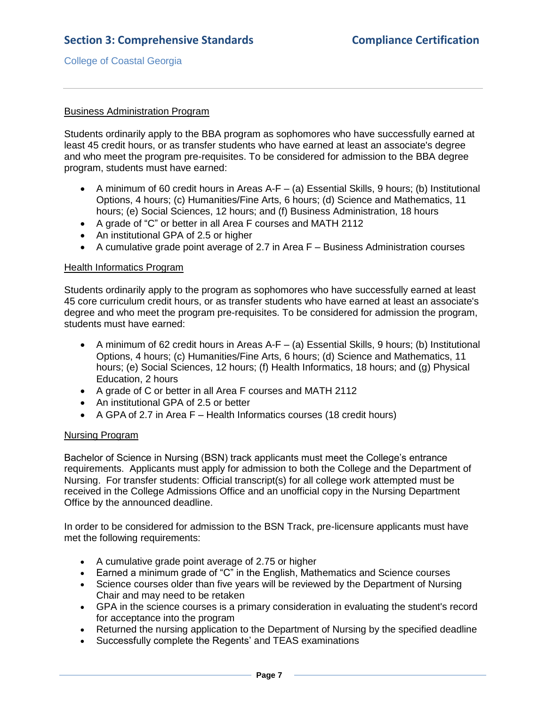## Business Administration Program

Students ordinarily apply to the BBA program as sophomores who have successfully earned at least 45 credit hours, or as transfer students who have earned at least an associate's degree and who meet the program pre-requisites. To be considered for admission to the BBA degree program, students must have earned:

- A minimum of 60 credit hours in Areas A-F  $-$  (a) Essential Skills, 9 hours; (b) Institutional Options, 4 hours; (c) Humanities/Fine Arts, 6 hours; (d) Science and Mathematics, 11 hours; (e) Social Sciences, 12 hours; and (f) Business Administration, 18 hours
- A grade of "C" or better in all Area F courses and MATH 2112
- An institutional GPA of 2.5 or higher
- A cumulative grade point average of 2.7 in Area F Business Administration courses

#### Health Informatics Program

Students ordinarily apply to the program as sophomores who have successfully earned at least 45 core curriculum credit hours, or as transfer students who have earned at least an associate's degree and who meet the program pre-requisites. To be considered for admission the program, students must have earned:

- A minimum of 62 credit hours in Areas  $A-F (a)$  Essential Skills, 9 hours; (b) Institutional Options, 4 hours; (c) Humanities/Fine Arts, 6 hours; (d) Science and Mathematics, 11 hours; (e) Social Sciences, 12 hours; (f) Health Informatics, 18 hours; and (g) Physical Education, 2 hours
- A grade of C or better in all Area F courses and MATH 2112
- An institutional GPA of 2.5 or better
- A GPA of 2.7 in Area F Health Informatics courses (18 credit hours)

## Nursing Program

Bachelor of Science in Nursing (BSN) track applicants must meet the College's entrance requirements. Applicants must apply for admission to both the College and the Department of Nursing. For transfer students: Official transcript(s) for all college work attempted must be received in the College Admissions Office and an unofficial copy in the Nursing Department Office by the announced deadline.

In order to be considered for admission to the BSN Track, pre-licensure applicants must have met the following requirements:

- A cumulative grade point average of 2.75 or higher
- Earned a minimum grade of "C" in the English, Mathematics and Science courses
- Science courses older than five years will be reviewed by the Department of Nursing Chair and may need to be retaken
- GPA in the science courses is a primary consideration in evaluating the student's record for acceptance into the program
- Returned the nursing application to the Department of Nursing by the specified deadline
- Successfully complete the Regents' and TEAS examinations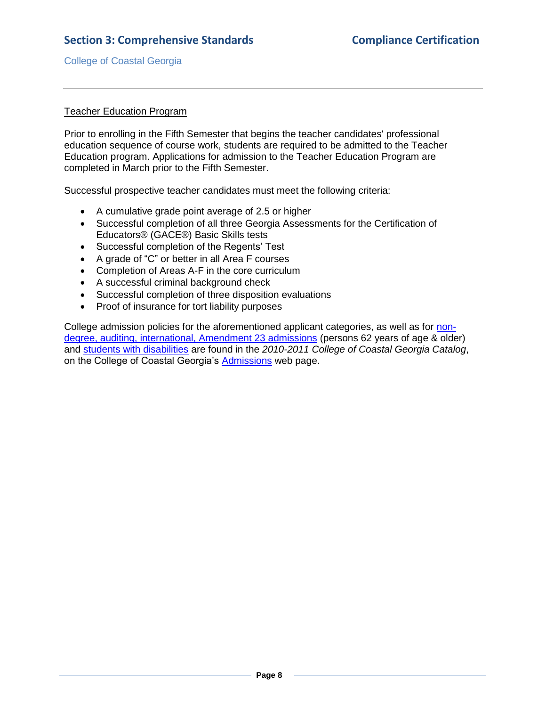# Teacher Education Program

Prior to enrolling in the Fifth Semester that begins the teacher candidates' professional education sequence of course work, students are required to be admitted to the Teacher Education program. Applications for admission to the Teacher Education Program are completed in March prior to the Fifth Semester.

Successful prospective teacher candidates must meet the following criteria:

- A cumulative grade point average of 2.5 or higher
- Successful completion of all three Georgia Assessments for the Certification of Educators® (GACE®) Basic Skills tests
- Successful completion of the Regents' Test
- A grade of "C" or better in all Area F courses
- Completion of Areas A-F in the core curriculum
- A successful criminal background check
- Successful completion of three disposition evaluations
- Proof of insurance for tort liability purposes

College admission policies for the aforementioned applicant categories, as well as for [non](CCGAcatalog.pdf#page=10)[degree, auditing, international, Amendment 23 admissions](CCGAcatalog.pdf#page=10) (persons 62 years of age & older) and [students with disabilities](CCGAcatalog.pdf#page=11) are found in the *2010-2011 College of Coastal Georgia Catalog*, on the College of Coastal Georgia's [Admissions](3.4.3.fCCGAProspectiveWebsite.pdf#page=1) web page.